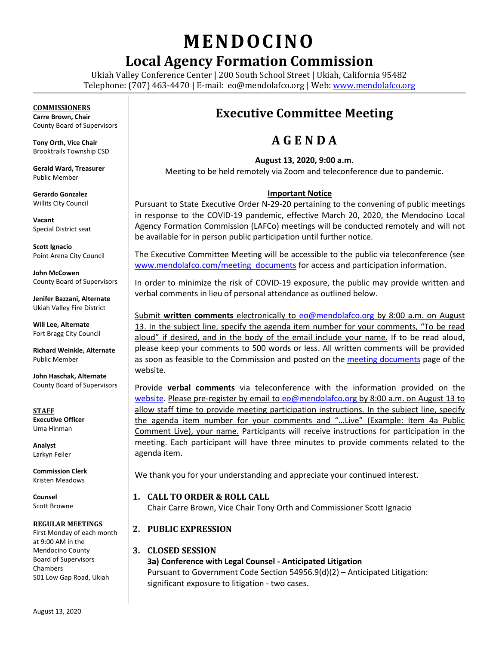## **MENDOCINO**

## **Local Agency Formation Commission**

Ukiah Valley Conference Center | 200 South School Street | Ukiah, California 95482 Telephone: (707) 463-4470 | E-mail: [eo@mendolafco.org](mailto:eo@mendolafco.org) | Web[: www.mendolafco.org](http://www.mendolafco.org/)

**COMMISSIONERS Carre Brown, Chair** County Board of Supervisors

**Tony Orth, Vice Chair** Brooktrails Township CSD

**Gerald Ward, Treasurer** Public Member

**Gerardo Gonzalez** Willits City Council

**Vacant** Special District seat

**Scott Ignacio** Point Arena City Council

**John McCowen** County Board of Supervisors

**Jenifer Bazzani, Alternate** Ukiah Valley Fire District

**Will Lee, Alternate** Fort Bragg City Council

**Richard Weinkle, Alternate** Public Member

**John Haschak, Alternate** County Board of Supervisors

**STAFF Executive Officer** Uma Hinman

**Analyst** Larkyn Feiler

**Commission Clerk** Kristen Meadows

**Counsel** Scott Browne

#### **REGULAR MEETINGS**

First Monday of each month at 9:00 AM in the Mendocino County Board of Supervisors Chambers 501 Low Gap Road, Ukiah

## **Executive Committee Meeting**

## **A G E N D A**

**August 13, 2020, 9:00 a.m.** Meeting to be held remotely via Zoom and teleconference due to pandemic.

#### **Important Notice**

Pursuant to State Executive Order N-29-20 pertaining to the convening of public meetings in response to the COVID-19 pandemic, effective March 20, 2020, the Mendocino Local Agency Formation Commission (LAFCo) meetings will be conducted remotely and will not be available for in person public participation until further notice.

The Executive Committee Meeting will be accessible to the public via teleconference (see [www.mendolafco.com/meeting\\_documents](http://www.mendolafco.com/meeting_documents) for access and participation informatio[n.](http://www.youtube.com/MendocinoCountyVideo.)

In order to minimize the risk of COVID-19 exposure, the public may provide written and verbal comments in lieu of personal attendance as outlined below.

Submit **written comments** electronically to [eo@mendolafco.org](mailto:eo@mendolafco.org) by 8:00 a.m. on August 13. In the subject line, specify the agenda item number for your comments, "To be read aloud" if desired, and in the body of the email include your name*.* If to be read aloud, please keep your comments to 500 words or less. All written comments will be provided as soon as feasible to the Commission and posted on the [meeting documents](http://www.mendolafco.org/meeting-documents) page of the website.

Provide **verbal comments** via teleconference with the information provided on the [website.](http://www.mendolafco.org/meeting-documents) Please pre-register by email to [eo@mendolafco.org](mailto:eo@mendolafco.org) by 8:00 a.m. on August 13 to allow staff time to provide meeting participation instructions. In the subject line, specify the agenda item number for your comments and "…Live" (Example: Item 4a Public Comment Live), your name. Participants will receive instructions for participation in the meeting. Each participant will have three minutes to provide comments related to the agenda item.

We thank you for your understanding and appreciate your continued interest.

#### **1. CALL TO ORDER & ROLL CALL**

Chair Carre Brown, Vice Chair Tony Orth and Commissioner Scott Ignacio

#### **2. PUBLIC EXPRESSION**

#### **3. CLOSED SESSION**

**3a) Conference with Legal Counsel - Anticipated Litigation**

Pursuant to Government Code Section 54956.9(d)(2) – Anticipated Litigation: significant exposure to litigation - two cases.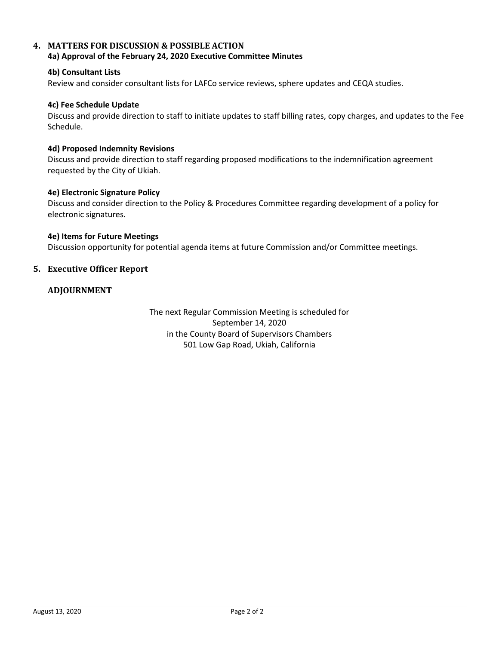### **4. MATTERS FOR DISCUSSION & POSSIBLE ACTION**

#### **4a) Approval of the February 24, 2020 Executive Committee Minutes**

#### **4b) Consultant Lists**

Review and consider consultant lists for LAFCo service reviews, sphere updates and CEQA studies.

#### **4c) Fee Schedule Update**

Discuss and provide direction to staff to initiate updates to staff billing rates, copy charges, and updates to the Fee Schedule.

#### **4d) Proposed Indemnity Revisions**

Discuss and provide direction to staff regarding proposed modifications to the indemnification agreement requested by the City of Ukiah.

#### **4e) Electronic Signature Policy**

Discuss and consider direction to the Policy & Procedures Committee regarding development of a policy for electronic signatures.

#### **4e) Items for Future Meetings**

Discussion opportunity for potential agenda items at future Commission and/or Committee meetings.

#### **5. Executive Officer Report**

#### **ADJOURNMENT**

The next Regular Commission Meeting is scheduled for September 14, 2020 in the County Board of Supervisors Chambers 501 Low Gap Road, Ukiah, California